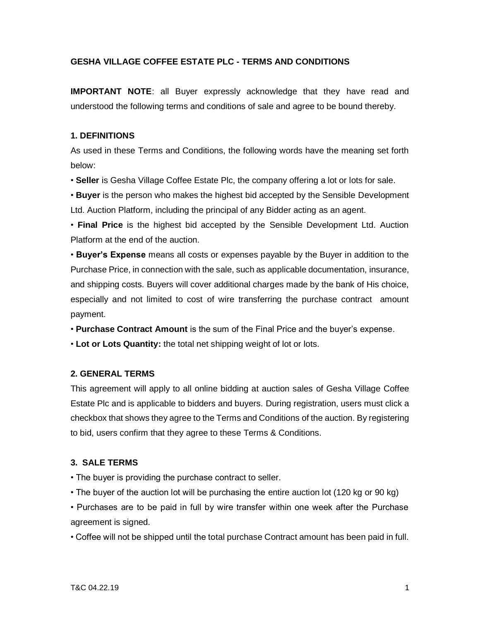### **GESHA VILLAGE COFFEE ESTATE PLC - TERMS AND CONDITIONS**

**IMPORTANT NOTE**: all Buyer expressly acknowledge that they have read and understood the following terms and conditions of sale and agree to be bound thereby.

### **1. DEFINITIONS**

As used in these Terms and Conditions, the following words have the meaning set forth below:

• **Seller** is Gesha Village Coffee Estate Plc, the company offering a lot or lots for sale.

• **Buyer** is the person who makes the highest bid accepted by the Sensible Development Ltd. Auction Platform, including the principal of any Bidder acting as an agent.

• **Final Price** is the highest bid accepted by the Sensible Development Ltd. Auction Platform at the end of the auction.

• **Buyer's Expense** means all costs or expenses payable by the Buyer in addition to the Purchase Price, in connection with the sale, such as applicable documentation, insurance, and shipping costs. Buyers will cover additional charges made by the bank of His choice, especially and not limited to cost of wire transferring the purchase contract amount payment.

• **Purchase Contract Amount** is the sum of the Final Price and the buyer's expense.

• **Lot or Lots Quantity:** the total net shipping weight of lot or lots.

#### **2. GENERAL TERMS**

This agreement will apply to all online bidding at auction sales of Gesha Village Coffee Estate Plc and is applicable to bidders and buyers. During registration, users must click a checkbox that shows they agree to the Terms and Conditions of the auction. By registering to bid, users confirm that they agree to these Terms & Conditions.

#### **3. SALE TERMS**

• The buyer is providing the purchase contract to seller.

• The buyer of the auction lot will be purchasing the entire auction lot (120 kg or 90 kg)

• Purchases are to be paid in full by wire transfer within one week after the Purchase agreement is signed.

• Coffee will not be shipped until the total purchase Contract amount has been paid in full.